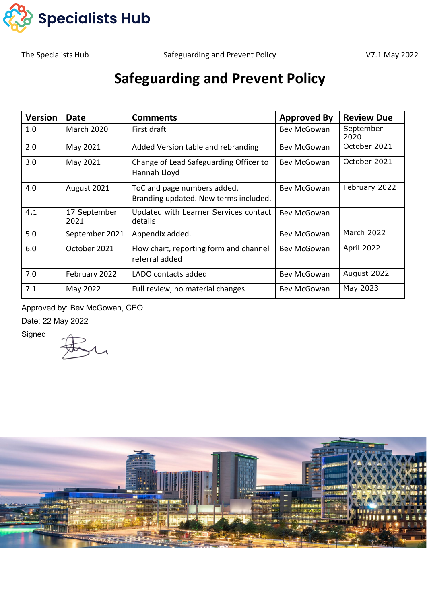

The Specialists Hub **Safeguarding and Prevent Policy No. 2022 V7.1 May 2022** 

# **Safeguarding and Prevent Policy**

| <b>Version</b> | <b>Date</b>          | <b>Comments</b>                                                      | <b>Approved By</b>          | <b>Review Due</b> |
|----------------|----------------------|----------------------------------------------------------------------|-----------------------------|-------------------|
| 1.0            | <b>March 2020</b>    | First draft                                                          | Bev McGowan                 | September<br>2020 |
| 2.0            | May 2021             | Added Version table and rebranding                                   | October 2021<br>Bev McGowan |                   |
| 3.0            | May 2021             | Change of Lead Safeguarding Officer to<br>Hannah Lloyd               | Bev McGowan                 | October 2021      |
| 4.0            | August 2021          | ToC and page numbers added.<br>Branding updated. New terms included. | Bev McGowan                 | February 2022     |
| 4.1            | 17 September<br>2021 | Updated with Learner Services contact<br>details                     | Bev McGowan                 |                   |
| 5.0            | September 2021       | Appendix added.                                                      | Bev McGowan                 | March 2022        |
| 6.0            | October 2021         | Flow chart, reporting form and channel<br>referral added             | Bev McGowan                 | April 2022        |
| 7.0            | February 2022        | LADO contacts added                                                  | Bev McGowan                 | August 2022       |
| 7.1            | May 2022             | Full review, no material changes                                     | Bev McGowan                 | May 2023          |

Approved by: Bev McGowan, CEO

Date: 22 May 2022

Signed:

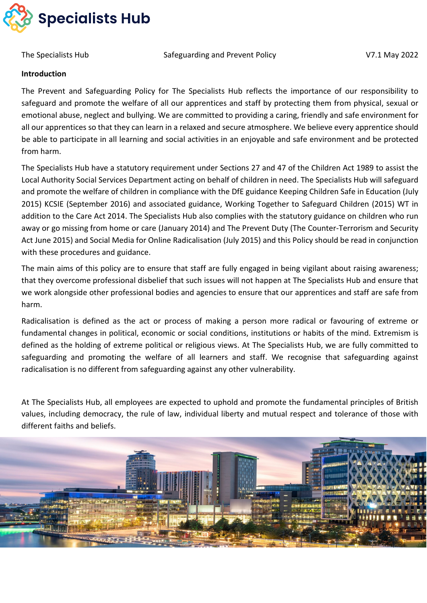

#### **Introduction**

The Prevent and Safeguarding Policy for The Specialists Hub reflects the importance of our responsibility to safeguard and promote the welfare of all our apprentices and staff by protecting them from physical, sexual or emotional abuse, neglect and bullying. We are committed to providing a caring, friendly and safe environment for all our apprentices so that they can learn in a relaxed and secure atmosphere. We believe every apprentice should be able to participate in all learning and social activities in an enjoyable and safe environment and be protected from harm.

The Specialists Hub have a statutory requirement under Sections 27 and 47 of the Children Act 1989 to assist the Local Authority Social Services Department acting on behalf of children in need. The Specialists Hub will safeguard and promote the welfare of children in compliance with the DfE guidance Keeping Children Safe in Education (July 2015) KCSIE (September 2016) and associated guidance, Working Together to Safeguard Children (2015) WT in addition to the Care Act 2014. The Specialists Hub also complies with the statutory guidance on children who run away or go missing from home or care (January 2014) and The Prevent Duty (The Counter-Terrorism and Security Act June 2015) and Social Media for Online Radicalisation (July 2015) and this Policy should be read in conjunction with these procedures and guidance.

The main aims of this policy are to ensure that staff are fully engaged in being vigilant about raising awareness; that they overcome professional disbelief that such issues will not happen at The Specialists Hub and ensure that we work alongside other professional bodies and agencies to ensure that our apprentices and staff are safe from harm.

Radicalisation is defined as the act or process of making a person more radical or favouring of extreme or fundamental changes in political, economic or social conditions, institutions or habits of the mind. Extremism is defined as the holding of extreme political or religious views. At The Specialists Hub, we are fully committed to safeguarding and promoting the welfare of all learners and staff. We recognise that safeguarding against radicalisation is no different from safeguarding against any other vulnerability.

At The Specialists Hub, all employees are expected to uphold and promote the fundamental principles of British values, including democracy, the rule of law, individual liberty and mutual respect and tolerance of those with different faiths and beliefs.

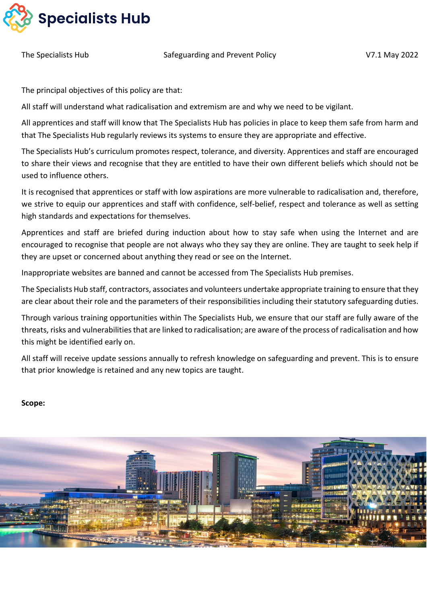

The principal objectives of this policy are that:

All staff will understand what radicalisation and extremism are and why we need to be vigilant.

All apprentices and staff will know that The Specialists Hub has policies in place to keep them safe from harm and that The Specialists Hub regularly reviews its systems to ensure they are appropriate and effective.

The Specialists Hub's curriculum promotes respect, tolerance, and diversity. Apprentices and staff are encouraged to share their views and recognise that they are entitled to have their own different beliefs which should not be used to influence others.

It is recognised that apprentices or staff with low aspirations are more vulnerable to radicalisation and, therefore, we strive to equip our apprentices and staff with confidence, self-belief, respect and tolerance as well as setting high standards and expectations for themselves.

Apprentices and staff are briefed during induction about how to stay safe when using the Internet and are encouraged to recognise that people are not always who they say they are online. They are taught to seek help if they are upset or concerned about anything they read or see on the Internet.

Inappropriate websites are banned and cannot be accessed from The Specialists Hub premises.

The Specialists Hub staff, contractors, associates and volunteers undertake appropriate training to ensure that they are clear about their role and the parameters of their responsibilities including their statutory safeguarding duties.

Through various training opportunities within The Specialists Hub, we ensure that our staff are fully aware of the threats, risks and vulnerabilities that are linked to radicalisation; are aware of the process of radicalisation and how this might be identified early on.

All staff will receive update sessions annually to refresh knowledge on safeguarding and prevent. This is to ensure that prior knowledge is retained and any new topics are taught.

#### **Scope:**

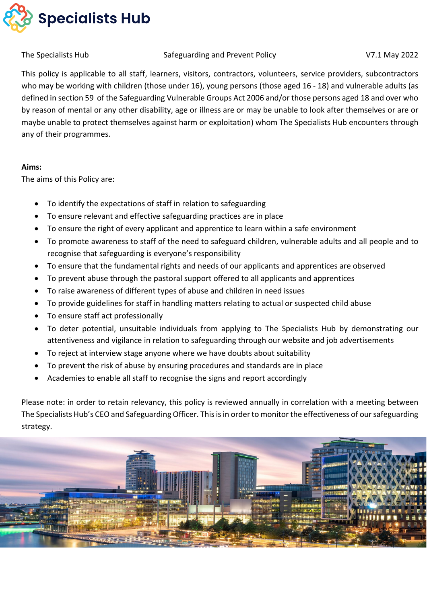

#### The Specialists Hub **Safeguarding and Prevent Policy No. 2022 V7.1 May 2022**

This policy is applicable to all staff, learners, visitors, contractors, volunteers, service providers, subcontractors who may be working with children (those under 16), young persons (those aged 16 - 18) and vulnerable adults (as defined in section 59 of the Safeguarding Vulnerable Groups Act 2006 and/or those persons aged 18 and over who by reason of mental or any other disability, age or illness are or may be unable to look after themselves or are or maybe unable to protect themselves against harm or exploitation) whom The Specialists Hub encounters through any of their programmes.

#### **Aims:**

The aims of this Policy are:

- To identify the expectations of staff in relation to safeguarding
- To ensure relevant and effective safeguarding practices are in place
- To ensure the right of every applicant and apprentice to learn within a safe environment
- To promote awareness to staff of the need to safeguard children, vulnerable adults and all people and to recognise that safeguarding is everyone's responsibility
- To ensure that the fundamental rights and needs of our applicants and apprentices are observed
- To prevent abuse through the pastoral support offered to all applicants and apprentices
- To raise awareness of different types of abuse and children in need issues
- To provide guidelines for staff in handling matters relating to actual or suspected child abuse
- To ensure staff act professionally
- To deter potential, unsuitable individuals from applying to The Specialists Hub by demonstrating our attentiveness and vigilance in relation to safeguarding through our website and job advertisements
- To reject at interview stage anyone where we have doubts about suitability
- To prevent the risk of abuse by ensuring procedures and standards are in place
- Academies to enable all staff to recognise the signs and report accordingly

Please note: in order to retain relevancy, this policy is reviewed annually in correlation with a meeting between The Specialists Hub's CEO and Safeguarding Officer. This is in order to monitor the effectiveness of our safeguarding strategy.

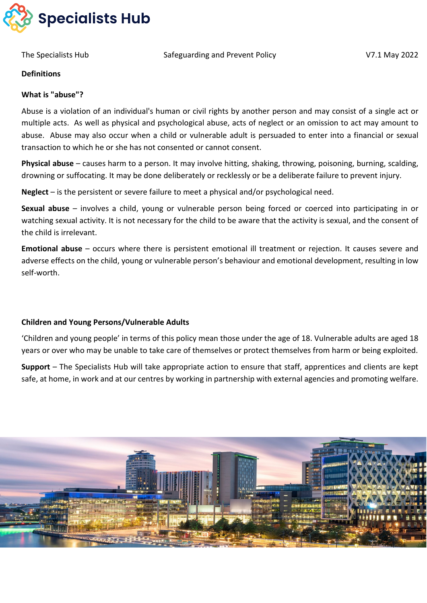

#### **Definitions**

#### **What is "abuse"?**

Abuse is a violation of an individual's human or civil rights by another person and may consist of a single act or multiple acts. As well as physical and psychological abuse, acts of neglect or an omission to act may amount to abuse. Abuse may also occur when a child or vulnerable adult is persuaded to enter into a financial or sexual transaction to which he or she has not consented or cannot consent.

**Physical abuse** – causes harm to a person. It may involve hitting, shaking, throwing, poisoning, burning, scalding, drowning or suffocating. It may be done deliberately or recklessly or be a deliberate failure to prevent injury.

**Neglect** – is the persistent or severe failure to meet a physical and/or psychological need.

**Sexual abuse** – involves a child, young or vulnerable person being forced or coerced into participating in or watching sexual activity. It is not necessary for the child to be aware that the activity is sexual, and the consent of the child is irrelevant.

**Emotional abuse** – occurs where there is persistent emotional ill treatment or rejection. It causes severe and adverse effects on the child, young or vulnerable person's behaviour and emotional development, resulting in low self-worth.

#### **Children and Young Persons/Vulnerable Adults**

'Children and young people' in terms of this policy mean those under the age of 18. Vulnerable adults are aged 18 years or over who may be unable to take care of themselves or protect themselves from harm or being exploited.

**Support** – The Specialists Hub will take appropriate action to ensure that staff, apprentices and clients are kept safe, at home, in work and at our centres by working in partnership with external agencies and promoting welfare.

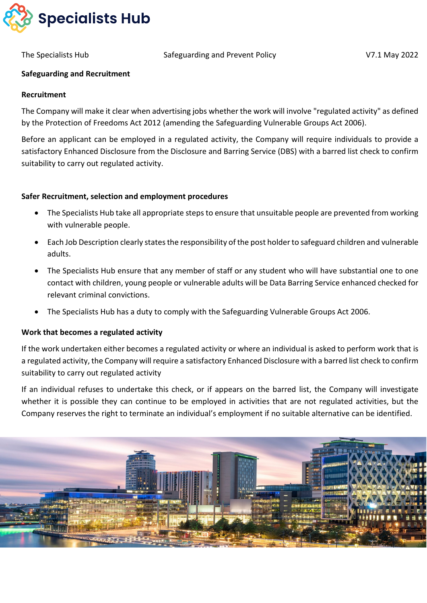

#### **Safeguarding and Recruitment**

#### **Recruitment**

The Company will make it clear when advertising jobs whether the work will involve "regulated activity" as defined by the Protection of Freedoms Act 2012 (amending the Safeguarding Vulnerable Groups Act 2006).

Before an applicant can be employed in a regulated activity, the Company will require individuals to provide a satisfactory Enhanced Disclosure from the Disclosure and Barring Service (DBS) with a barred list check to confirm suitability to carry out regulated activity.

#### **Safer Recruitment, selection and employment procedures**

- The Specialists Hub take all appropriate steps to ensure that unsuitable people are prevented from working with vulnerable people.
- Each Job Description clearly states the responsibility of the post holder to safeguard children and vulnerable adults.
- The Specialists Hub ensure that any member of staff or any student who will have substantial one to one contact with children, young people or vulnerable adults will be Data Barring Service enhanced checked for relevant criminal convictions.
- The Specialists Hub has a duty to comply with the Safeguarding Vulnerable Groups Act 2006.

#### **Work that becomes a regulated activity**

If the work undertaken either becomes a regulated activity or where an individual is asked to perform work that is a regulated activity, the Company will require a satisfactory Enhanced Disclosure with a barred list check to confirm suitability to carry out regulated activity

If an individual refuses to undertake this check, or if appears on the barred list, the Company will investigate whether it is possible they can continue to be employed in activities that are not regulated activities, but the Company reserves the right to terminate an individual's employment if no suitable alternative can be identified.

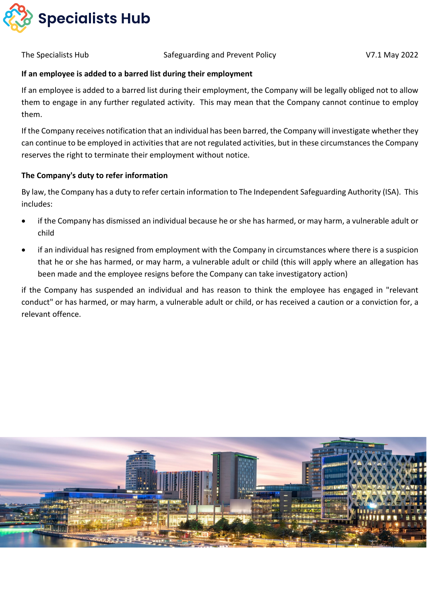

#### **If an employee is added to a barred list during their employment**

If an employee is added to a barred list during their employment, the Company will be legally obliged not to allow them to engage in any further regulated activity. This may mean that the Company cannot continue to employ them.

If the Company receives notification that an individual has been barred, the Company will investigate whether they can continue to be employed in activities that are not regulated activities, but in these circumstances the Company reserves the right to terminate their employment without notice.

#### **The Company's duty to refer information**

By law, the Company has a duty to refer certain information to The Independent Safeguarding Authority (ISA). This includes:

- if the Company has dismissed an individual because he or she has harmed, or may harm, a vulnerable adult or child
- if an individual has resigned from employment with the Company in circumstances where there is a suspicion that he or she has harmed, or may harm, a vulnerable adult or child (this will apply where an allegation has been made and the employee resigns before the Company can take investigatory action)

if the Company has suspended an individual and has reason to think the employee has engaged in "relevant conduct" or has harmed, or may harm, a vulnerable adult or child, or has received a caution or a conviction for, a relevant offence.

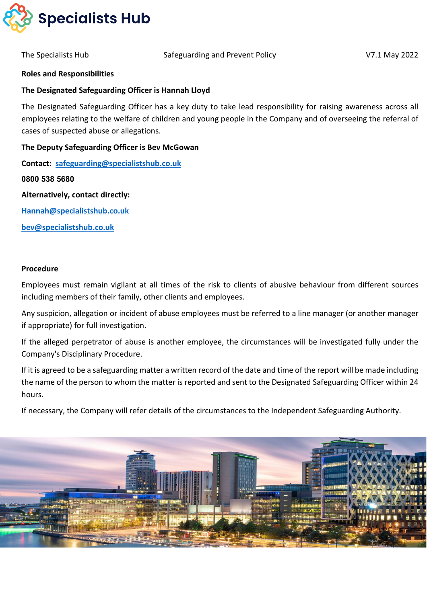

#### **Roles and Responsibilities**

#### **The Designated Safeguarding Officer is Hannah Lloyd**

The Designated Safeguarding Officer has a key duty to take lead responsibility for raising awareness across all employees relating to the welfare of children and young people in the Company and of overseeing the referral of cases of suspected abuse or allegations.

#### **The Deputy Safeguarding Officer is Bev McGowan**

**Contact: [safeguarding@specialistshub.co.uk](mailto:safeguarding@specialistshub.co.uk)** 

**0800 538 5680**

**Alternatively, contact directly:**

**[Hannah@specialistshub.co.uk](mailto:Hannah@specialistshub.co.uk)**

**[bev@specialistshub.co.uk](mailto:bev@specialistshub.co.uk)**

#### **Procedure**

Employees must remain vigilant at all times of the risk to clients of abusive behaviour from different sources including members of their family, other clients and employees.

Any suspicion, allegation or incident of abuse employees must be referred to a line manager (or another manager if appropriate) for full investigation.

If the alleged perpetrator of abuse is another employee, the circumstances will be investigated fully under the Company's Disciplinary Procedure.

If it is agreed to be a safeguarding matter a written record of the date and time of the report will be made including the name of the person to whom the matter is reported and sent to the Designated Safeguarding Officer within 24 hours.

If necessary, the Company will refer details of the circumstances to the Independent Safeguarding Authority.

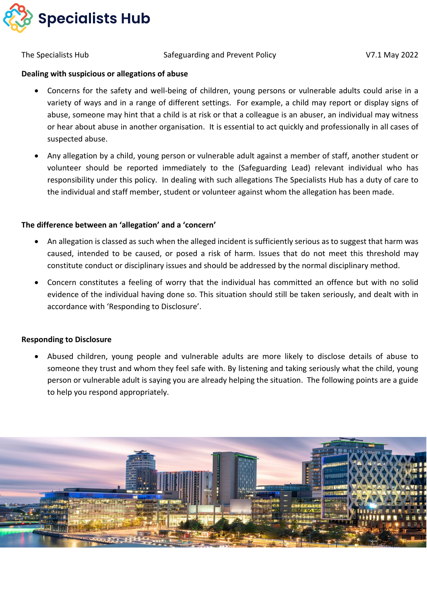

#### **Dealing with suspicious or allegations of abuse**

- Concerns for the safety and well-being of children, young persons or vulnerable adults could arise in a variety of ways and in a range of different settings. For example, a child may report or display signs of abuse, someone may hint that a child is at risk or that a colleague is an abuser, an individual may witness or hear about abuse in another organisation. It is essential to act quickly and professionally in all cases of suspected abuse.
- Any allegation by a child, young person or vulnerable adult against a member of staff, another student or volunteer should be reported immediately to the (Safeguarding Lead) relevant individual who has responsibility under this policy. In dealing with such allegations The Specialists Hub has a duty of care to the individual and staff member, student or volunteer against whom the allegation has been made.

#### **The difference between an 'allegation' and a 'concern'**

- An allegation is classed as such when the alleged incident is sufficiently serious as to suggest that harm was caused, intended to be caused, or posed a risk of harm. Issues that do not meet this threshold may constitute conduct or disciplinary issues and should be addressed by the normal disciplinary method.
- Concern constitutes a feeling of worry that the individual has committed an offence but with no solid evidence of the individual having done so. This situation should still be taken seriously, and dealt with in accordance with 'Responding to Disclosure'.

#### **Responding to Disclosure**

• Abused children, young people and vulnerable adults are more likely to disclose details of abuse to someone they trust and whom they feel safe with. By listening and taking seriously what the child, young person or vulnerable adult is saying you are already helping the situation. The following points are a guide to help you respond appropriately.

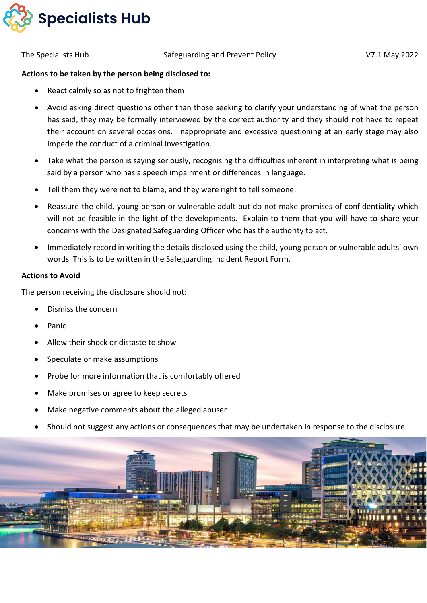

#### **Actions to be taken by the person being disclosed to:**

- React calmly so as not to frighten them
- Avoid asking direct questions other than those seeking to clarify your understanding of what the person has said, they may be formally interviewed by the correct authority and they should not have to repeat their account on several occasions. Inappropriate and excessive questioning at an early stage may also impede the conduct of a criminal investigation.
- Take what the person is saying seriously, recognising the difficulties inherent in interpreting what is being said by a person who has a speech impairment or differences in language.
- Tell them they were not to blame, and they were right to tell someone.
- Reassure the child, young person or vulnerable adult but do not make promises of confidentiality which will not be feasible in the light of the developments. Explain to them that you will have to share your concerns with the Designated Safeguarding Officer who has the authority to act.
- Immediately record in writing the details disclosed using the child, young person or vulnerable adults' own words. This is to be written in the Safeguarding Incident Report Form.

#### **Actions to Avoid**

The person receiving the disclosure should not:

- Dismiss the concern
- **Panic**
- Allow their shock or distaste to show
- Speculate or make assumptions
- Probe for more information that is comfortably offered
- Make promises or agree to keep secrets
- Make negative comments about the alleged abuser
- Should not suggest any actions or consequences that may be undertaken in response to the disclosure.

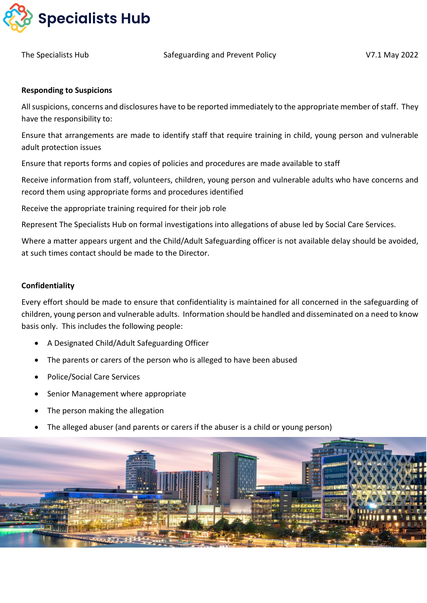

#### **Responding to Suspicions**

All suspicions, concerns and disclosures have to be reported immediately to the appropriate member of staff. They have the responsibility to:

Ensure that arrangements are made to identify staff that require training in child, young person and vulnerable adult protection issues

Ensure that reports forms and copies of policies and procedures are made available to staff

Receive information from staff, volunteers, children, young person and vulnerable adults who have concerns and record them using appropriate forms and procedures identified

Receive the appropriate training required for their job role

Represent The Specialists Hub on formal investigations into allegations of abuse led by Social Care Services.

Where a matter appears urgent and the Child/Adult Safeguarding officer is not available delay should be avoided, at such times contact should be made to the Director.

#### **Confidentiality**

Every effort should be made to ensure that confidentiality is maintained for all concerned in the safeguarding of children, young person and vulnerable adults. Information should be handled and disseminated on a need to know basis only. This includes the following people:

- A Designated Child/Adult Safeguarding Officer
- The parents or carers of the person who is alleged to have been abused
- Police/Social Care Services
- Senior Management where appropriate
- The person making the allegation
- The alleged abuser (and parents or carers if the abuser is a child or young person)

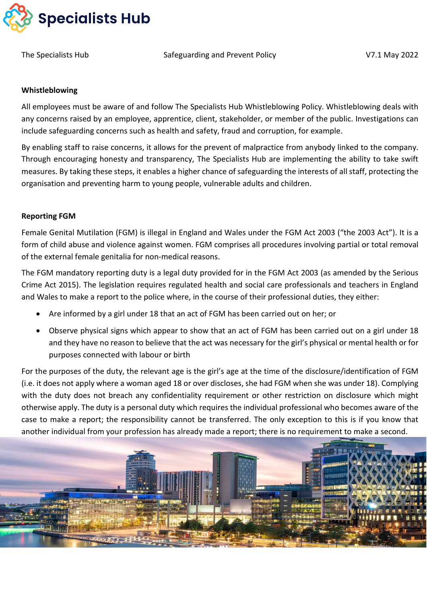

#### **Whistleblowing**

All employees must be aware of and follow The Specialists Hub Whistleblowing Policy. Whistleblowing deals with any concerns raised by an employee, apprentice, client, stakeholder, or member of the public. Investigations can include safeguarding concerns such as health and safety, fraud and corruption, for example.

By enabling staff to raise concerns, it allows for the prevent of malpractice from anybody linked to the company. Through encouraging honesty and transparency, The Specialists Hub are implementing the ability to take swift measures. By taking these steps, it enables a higher chance of safeguarding the interests of all staff, protecting the organisation and preventing harm to young people, vulnerable adults and children.

#### **Reporting FGM**

Female Genital Mutilation (FGM) is illegal in England and Wales under the FGM Act 2003 ("the 2003 Act"). It is a form of child abuse and violence against women. FGM comprises all procedures involving partial or total removal of the external female genitalia for non-medical reasons.

The FGM mandatory reporting duty is a legal duty provided for in the FGM Act 2003 (as amended by the Serious Crime Act 2015). The legislation requires regulated health and social care professionals and teachers in England and Wales to make a report to the police where, in the course of their professional duties, they either:

- Are informed by a girl under 18 that an act of FGM has been carried out on her; or
- Observe physical signs which appear to show that an act of FGM has been carried out on a girl under 18 and they have no reason to believe that the act was necessary for the girl's physical or mental health or for purposes connected with labour or birth

For the purposes of the duty, the relevant age is the girl's age at the time of the disclosure/identification of FGM (i.e. it does not apply where a woman aged 18 or over discloses, she had FGM when she was under 18). Complying with the duty does not breach any confidentiality requirement or other restriction on disclosure which might otherwise apply. The duty is a personal duty which requires the individual professional who becomes aware of the case to make a report; the responsibility cannot be transferred. The only exception to this is if you know that another individual from your profession has already made a report; there is no requirement to make a second.

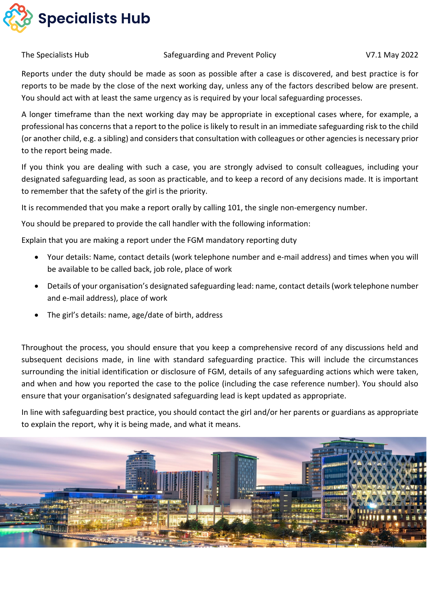

Reports under the duty should be made as soon as possible after a case is discovered, and best practice is for reports to be made by the close of the next working day, unless any of the factors described below are present. You should act with at least the same urgency as is required by your local safeguarding processes.

A longer timeframe than the next working day may be appropriate in exceptional cases where, for example, a professional has concerns that a report to the police is likely to result in an immediate safeguarding risk to the child (or another child, e.g. a sibling) and considers that consultation with colleagues or other agencies is necessary prior to the report being made.

If you think you are dealing with such a case, you are strongly advised to consult colleagues, including your designated safeguarding lead, as soon as practicable, and to keep a record of any decisions made. It is important to remember that the safety of the girl is the priority.

It is recommended that you make a report orally by calling 101, the single non-emergency number.

You should be prepared to provide the call handler with the following information:

Explain that you are making a report under the FGM mandatory reporting duty

- Your details: Name, contact details (work telephone number and e-mail address) and times when you will be available to be called back, job role, place of work
- Details of your organisation's designated safeguarding lead: name, contact details (work telephone number and e-mail address), place of work
- The girl's details: name, age/date of birth, address

Throughout the process, you should ensure that you keep a comprehensive record of any discussions held and subsequent decisions made, in line with standard safeguarding practice. This will include the circumstances surrounding the initial identification or disclosure of FGM, details of any safeguarding actions which were taken, and when and how you reported the case to the police (including the case reference number). You should also ensure that your organisation's designated safeguarding lead is kept updated as appropriate.

In line with safeguarding best practice, you should contact the girl and/or her parents or guardians as appropriate to explain the report, why it is being made, and what it means.

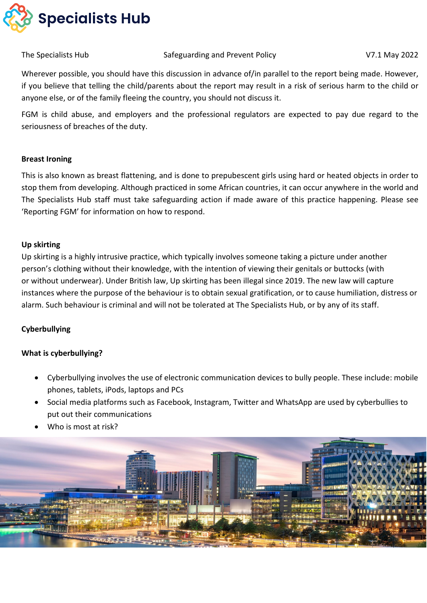

Wherever possible, you should have this discussion in advance of/in parallel to the report being made. However, if you believe that telling the child/parents about the report may result in a risk of serious harm to the child or anyone else, or of the family fleeing the country, you should not discuss it.

FGM is child abuse, and employers and the professional regulators are expected to pay due regard to the seriousness of breaches of the duty.

#### **Breast Ironing**

This is also known as breast flattening, and is done to prepubescent girls using hard or heated objects in order to stop them from developing. Although practiced in some African countries, it can occur anywhere in the world and The Specialists Hub staff must take safeguarding action if made aware of this practice happening. Please see 'Reporting FGM' for information on how to respond.

#### **Up skirting**

Up skirting is a highly intrusive practice, which typically involves someone taking a picture under another person's clothing without their knowledge, with the intention of viewing their genitals or buttocks (with or without underwear). Under British law, Up skirting has been illegal since 2019. The new law will capture instances where the purpose of the behaviour is to obtain sexual gratification, or to cause humiliation, distress or alarm. Such behaviour is criminal and will not be tolerated at The Specialists Hub, or by any of its staff.

#### **Cyberbullying**

#### **What is cyberbullying?**

- Cyberbullying involves the use of electronic communication devices to bully people. These include: mobile phones, tablets, iPods, laptops and PCs
- Social media platforms such as Facebook, Instagram, Twitter and WhatsApp are used by cyberbullies to put out their communications
- Who is most at risk?

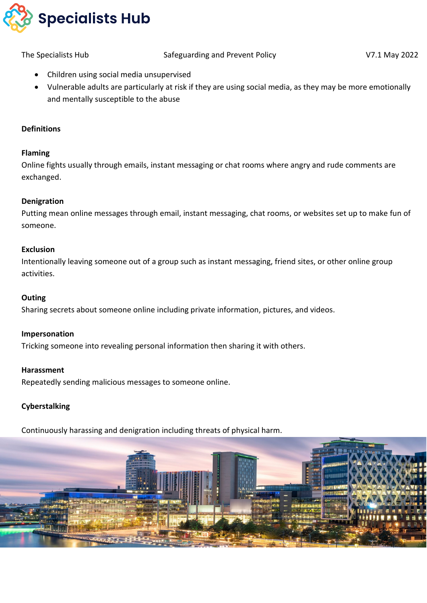

- Children using social media unsupervised
- Vulnerable adults are particularly at risk if they are using social media, as they may be more emotionally and mentally susceptible to the abuse

### **Definitions**

#### **Flaming**

Online fights usually through emails, instant messaging or chat rooms where angry and rude comments are exchanged.

#### **Denigration**

Putting mean online messages through email, instant messaging, chat rooms, or websites set up to make fun of someone.

#### **Exclusion**

Intentionally leaving someone out of a group such as instant messaging, friend sites, or other online group activities.

#### **Outing**

Sharing secrets about someone online including private information, pictures, and videos.

#### **Impersonation**

Tricking someone into revealing personal information then sharing it with others.

#### **Harassment**

Repeatedly sending malicious messages to someone online.

#### **Cyberstalking**

Continuously harassing and denigration including threats of physical harm.

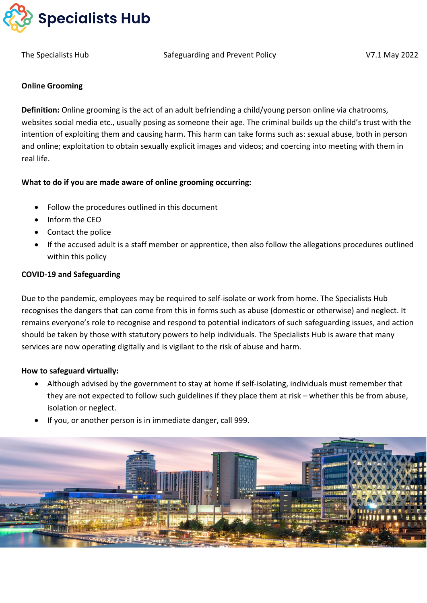

The Specialists Hub The Safeguarding and Prevent Policy The Specialists Hub V7.1 May 2022

#### **Online Grooming**

**Definition:** Online grooming is the act of an adult befriending a child/young person online via chatrooms, websites social media etc., usually posing as someone their age. The criminal builds up the child's trust with the intention of exploiting them and causing harm. This harm can take forms such as: sexual abuse, both in person and online; exploitation to obtain sexually explicit images and videos; and coercing into meeting with them in real life.

#### **What to do if you are made aware of online grooming occurring:**

- Follow the procedures outlined in this document
- Inform the CEO
- Contact the police
- If the accused adult is a staff member or apprentice, then also follow the allegations procedures outlined within this policy

#### **COVID-19 and Safeguarding**

Due to the pandemic, employees may be required to self-isolate or work from home. The Specialists Hub recognises the dangers that can come from this in forms such as abuse (domestic or otherwise) and neglect. It remains everyone's role to recognise and respond to potential indicators of such safeguarding issues, and action should be taken by those with statutory powers to help individuals. The Specialists Hub is aware that many services are now operating digitally and is vigilant to the risk of abuse and harm.

#### **How to safeguard virtually:**

- Although advised by the government to stay at home if self-isolating, individuals must remember that they are not expected to follow such guidelines if they place them at risk – whether this be from abuse, isolation or neglect.
- If you, or another person is in immediate danger, call 999.

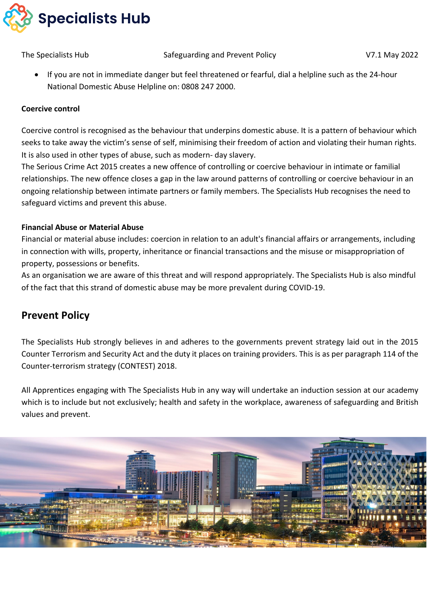

• If you are not in immediate danger but feel threatened or fearful, dial a helpline such as the 24-hour National Domestic Abuse Helpline on: 0808 247 2000.

#### **Coercive control**

Coercive control is recognised as the behaviour that underpins domestic abuse. It is a pattern of behaviour which seeks to take away the victim's sense of self, minimising their freedom of action and violating their human rights. It is also used in other types of abuse, such as modern- day slavery.

The Serious Crime Act 2015 creates a new offence of controlling or coercive behaviour in intimate or familial relationships. The new offence closes a gap in the law around patterns of controlling or coercive behaviour in an ongoing relationship between intimate partners or family members. The Specialists Hub recognises the need to safeguard victims and prevent this abuse.

#### **Financial Abuse or Material Abuse**

Financial or material abuse includes: coercion in relation to an adult's financial affairs or arrangements, including in connection with wills, property, inheritance or financial transactions and the misuse or misappropriation of property, possessions or benefits.

As an organisation we are aware of this threat and will respond appropriately. The Specialists Hub is also mindful of the fact that this strand of domestic abuse may be more prevalent during COVID-19.

## **Prevent Policy**

The Specialists Hub strongly believes in and adheres to the governments prevent strategy laid out in the 2015 Counter Terrorism and Security Act and the duty it places on training providers. This is as per paragraph 114 of the Counter-terrorism strategy (CONTEST) 2018.

All Apprentices engaging with The Specialists Hub in any way will undertake an induction session at our academy which is to include but not exclusively; health and safety in the workplace, awareness of safeguarding and British values and prevent.

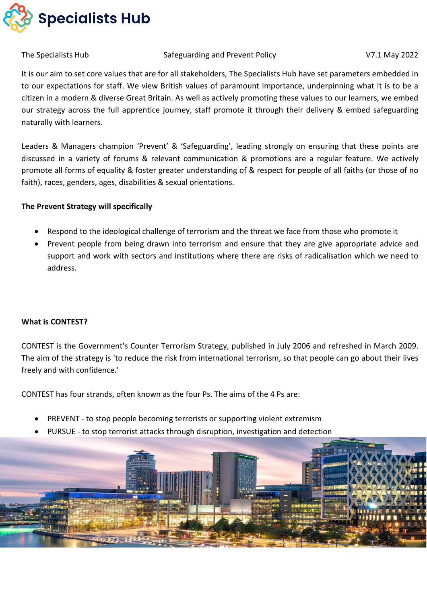

It is our aim to set core values that are for all stakeholders, The Specialists Hub have set parameters embedded in to our expectations for staff. We view British values of paramount importance, underpinning what it is to be a citizen in a modern & diverse Great Britain. As well as actively promoting these values to our learners, we embed our strategy across the full apprentice journey, staff promote it through their delivery & embed safeguarding naturally with learners.

Leaders & Managers champion 'Prevent' & 'Safeguarding', leading strongly on ensuring that these points are discussed in a variety of forums & relevant communication & promotions are a regular feature. We actively promote all forms of equality & foster greater understanding of & respect for people of all faiths (or those of no faith), races, genders, ages, disabilities & sexual orientations.

#### **The Prevent Strategy will specifically**

- Respond to the ideological challenge of terrorism and the threat we face from those who promote it
- Prevent people from being drawn into terrorism and ensure that they are give appropriate advice and support and work with sectors and institutions where there are risks of radicalisation which we need to address.

#### **What is CONTEST?**

CONTEST is the Government's Counter Terrorism Strategy, published in July 2006 and refreshed in March 2009. The aim of the strategy is 'to reduce the risk from international terrorism, so that people can go about their lives freely and with confidence.'

CONTEST has four strands, often known as the four Ps. The aims of the 4 Ps are:

- PREVENT to stop people becoming terrorists or supporting violent extremism
- PURSUE to stop terrorist attacks through disruption, investigation and detection

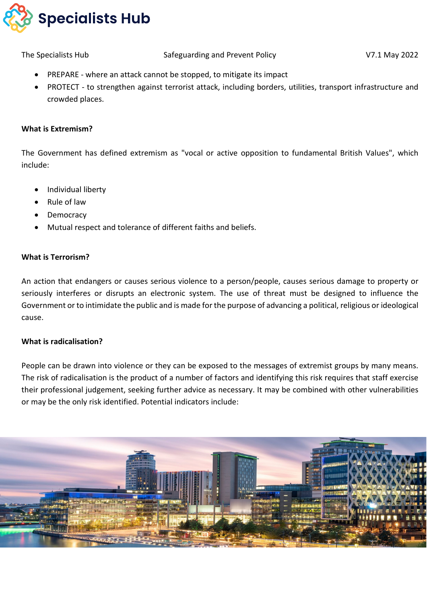

- PREPARE where an attack cannot be stopped, to mitigate its impact
- PROTECT to strengthen against terrorist attack, including borders, utilities, transport infrastructure and crowded places.

#### **What is Extremism?**

The Government has defined extremism as "vocal or active opposition to fundamental British Values", which include:

- Individual liberty
- Rule of law
- **Democracy**
- Mutual respect and tolerance of different faiths and beliefs.

#### **What is Terrorism?**

An action that endangers or causes serious violence to a person/people, causes serious damage to property or seriously interferes or disrupts an electronic system. The use of threat must be designed to influence the Government or to intimidate the public and is made for the purpose of advancing a political, religious or ideological cause.

#### **What is radicalisation?**

People can be drawn into violence or they can be exposed to the messages of extremist groups by many means. The risk of radicalisation is the product of a number of factors and identifying this risk requires that staff exercise their professional judgement, seeking further advice as necessary. It may be combined with other vulnerabilities or may be the only risk identified. Potential indicators include:

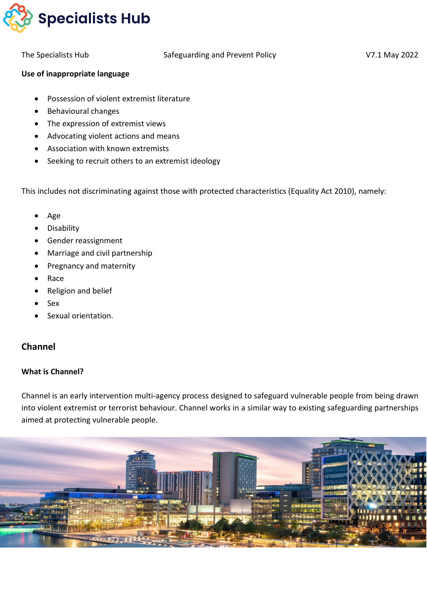

#### **Use of inappropriate language**

- Possession of violent extremist literature
- Behavioural changes
- The expression of extremist views
- Advocating violent actions and means
- Association with known extremists
- Seeking to recruit others to an extremist ideology

This includes not discriminating against those with protected characteristics (Equality Act 2010), namely:

- Age
- **Disability**
- Gender reassignment
- Marriage and civil partnership
- Pregnancy and maternity
- Race
- Religion and belief
- Sex
- Sexual orientation.

### **Channel**

#### **What is Channel?**

Channel is an early intervention multi-agency process designed to safeguard vulnerable people from being drawn into violent extremist or terrorist behaviour. Channel works in a similar way to existing safeguarding partnerships aimed at protecting vulnerable people.

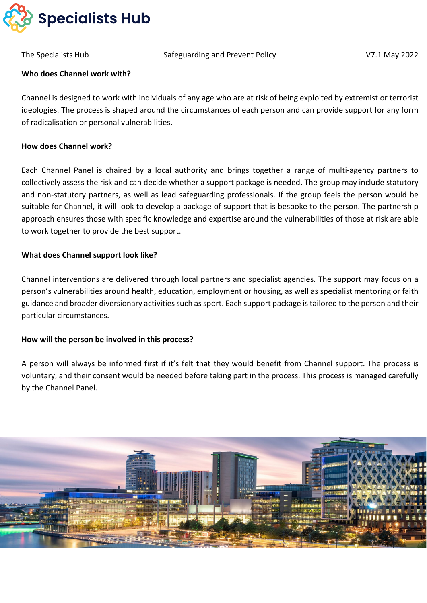

The Specialists Hub The Safeguarding and Prevent Policy The Specialists Hub V7.1 May 2022

#### **Who does Channel work with?**

Channel is designed to work with individuals of any age who are at risk of being exploited by extremist or terrorist ideologies. The process is shaped around the circumstances of each person and can provide support for any form of radicalisation or personal vulnerabilities.

#### **How does Channel work?**

Each Channel Panel is chaired by a local authority and brings together a range of multi-agency partners to collectively assess the risk and can decide whether a support package is needed. The group may include statutory and non-statutory partners, as well as lead safeguarding professionals. If the group feels the person would be suitable for Channel, it will look to develop a package of support that is bespoke to the person. The partnership approach ensures those with specific knowledge and expertise around the vulnerabilities of those at risk are able to work together to provide the best support.

#### **What does Channel support look like?**

Channel interventions are delivered through local partners and specialist agencies. The support may focus on a person's vulnerabilities around health, education, employment or housing, as well as specialist mentoring or faith guidance and broader diversionary activities such as sport. Each support package is tailored to the person and their particular circumstances.

#### **How will the person be involved in this process?**

A person will always be informed first if it's felt that they would benefit from Channel support. The process is voluntary, and their consent would be needed before taking part in the process. This process is managed carefully by the Channel Panel.

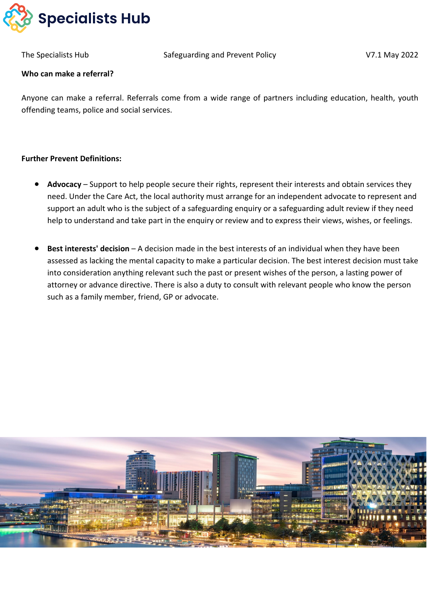

#### **Who can make a referral?**

Anyone can make a referral. Referrals come from a wide range of partners including education, health, youth offending teams, police and social services.

#### **Further Prevent Definitions:**

- **Advocacy** Support to help people secure their rights, represent their interests and obtain services they need. Under the Care Act, the local authority must arrange for an independent advocate to represent and support an adult who is the subject of a safeguarding enquiry or a safeguarding adult review if they need help to understand and take part in the enquiry or review and to express their views, wishes, or feelings.
- **Best interests' decision** A decision made in the best interests of an individual when they have been assessed as lacking the mental capacity to make a particular decision. The best interest decision must take into consideration anything relevant such the past or present wishes of the person, a lasting power of attorney or advance directive. There is also a duty to consult with relevant people who know the person such as a family member, friend, GP or advocate.

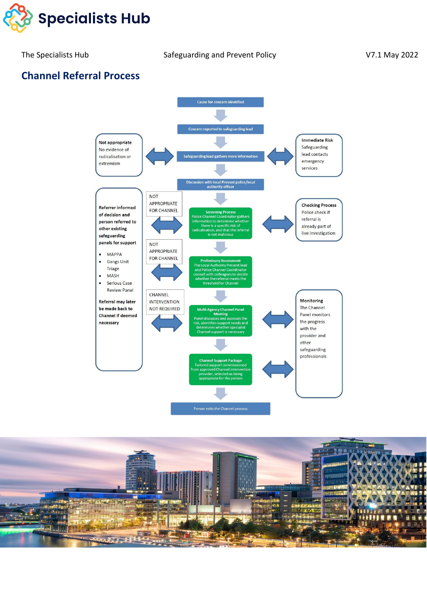

# **Channel Referral Process**



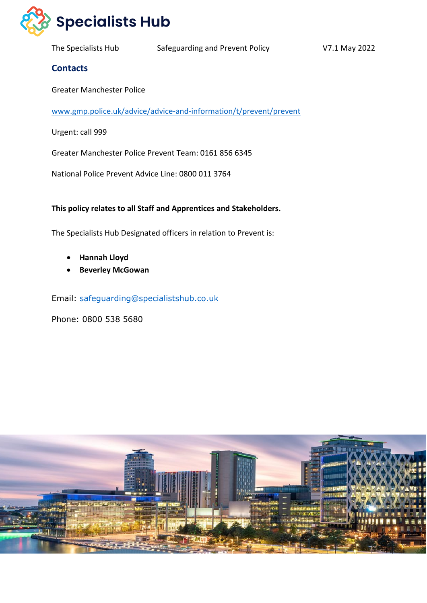

Greater Manchester Police

[www.gmp.police.uk/advice/advice-and-information/t/prevent/prevent](http://www.gmp.police.uk/advice/advice-and-information/t/prevent/prevent)

Urgent: call 999

**Contacts**

Greater Manchester Police Prevent Team: 0161 856 6345

National Police Prevent Advice Line: 0800 011 3764

**This policy relates to all Staff and Apprentices and Stakeholders.**

The Specialists Hub Designated officers in relation to Prevent is:

- **Hannah Lloyd**
- **Beverley McGowan**

Email: [safeguarding@specialistshub.co.uk](mailto:safeguarding@specialistshub.co.uk)

Phone: 0800 538 5680

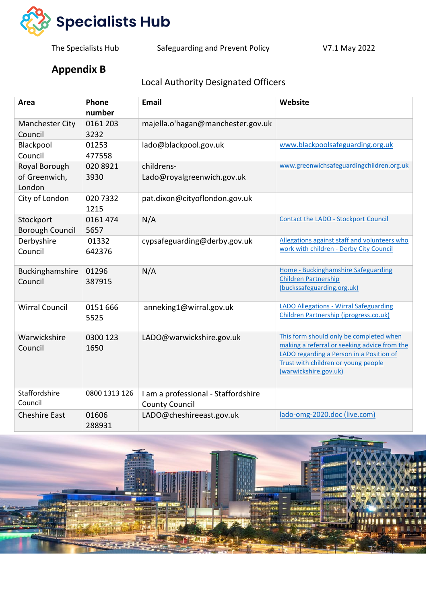

The Specialists Hub Safeguarding and Prevent Policy V7.1 May 2022

# **Appendix B**

# Local Authority Designated Officers

| Area                                     | Phone<br>number  | <b>Email</b>                                                 | Website                                                                                                                                                                                             |
|------------------------------------------|------------------|--------------------------------------------------------------|-----------------------------------------------------------------------------------------------------------------------------------------------------------------------------------------------------|
| Manchester City<br>Council               | 0161 203<br>3232 | majella.o'hagan@manchester.gov.uk                            |                                                                                                                                                                                                     |
| Blackpool<br>Council                     | 01253<br>477558  | lado@blackpool.gov.uk                                        | www.blackpoolsafeguarding.org.uk                                                                                                                                                                    |
| Royal Borough<br>of Greenwich,<br>London | 020 8921<br>3930 | childrens-<br>Lado@royalgreenwich.gov.uk                     | www.greenwichsafeguardingchildren.org.uk                                                                                                                                                            |
| City of London                           | 020 7332<br>1215 | pat.dixon@cityoflondon.gov.uk                                |                                                                                                                                                                                                     |
| Stockport<br><b>Borough Council</b>      | 0161 474<br>5657 | N/A                                                          | <b>Contact the LADO - Stockport Council</b>                                                                                                                                                         |
| Derbyshire<br>Council                    | 01332<br>642376  | cypsafeguarding@derby.gov.uk                                 | Allegations against staff and volunteers who<br>work with children - Derby City Council                                                                                                             |
| Buckinghamshire<br>Council               | 01296<br>387915  | N/A                                                          | Home - Buckinghamshire Safeguarding<br><b>Children Partnership</b><br>(buckssafeguarding.org.uk)                                                                                                    |
| <b>Wirral Council</b>                    | 0151 666<br>5525 | anneking1@wirral.gov.uk                                      | <b>LADO Allegations - Wirral Safeguarding</b><br>Children Partnership (iprogress.co.uk)                                                                                                             |
| Warwickshire<br>Council                  | 0300 123<br>1650 | LADO@warwickshire.gov.uk                                     | This form should only be completed when<br>making a referral or seeking advice from the<br>LADO regarding a Person in a Position of<br>Trust with children or young people<br>(warwickshire.gov.uk) |
| Staffordshire<br>Council                 | 0800 1313 126    | I am a professional - Staffordshire<br><b>County Council</b> |                                                                                                                                                                                                     |
| <b>Cheshire East</b>                     | 01606<br>288931  | LADO@cheshireeast.gov.uk                                     | lado-omg-2020.doc (live.com)                                                                                                                                                                        |

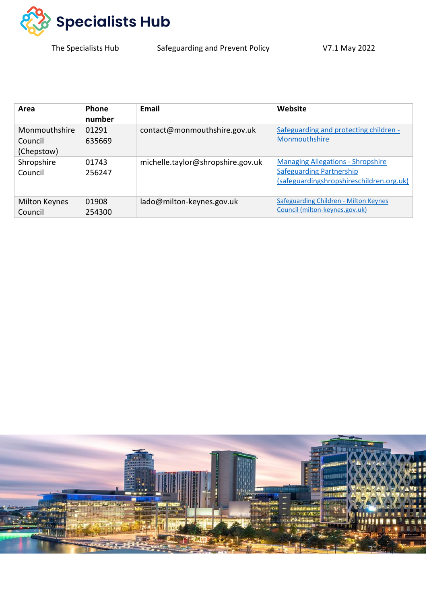

The Specialists Hub Safeguarding and Prevent Policy V7.1 May 2022

| Area                                   | <b>Phone</b><br>number | Email                             | Website                                                                                                                 |
|----------------------------------------|------------------------|-----------------------------------|-------------------------------------------------------------------------------------------------------------------------|
| Monmouthshire<br>Council<br>(Chepstow) | 01291<br>635669        | contact@monmouthshire.gov.uk      | Safeguarding and protecting children -<br>Monmouthshire                                                                 |
| Shropshire<br>Council                  | 01743<br>256247        | michelle.taylor@shropshire.gov.uk | <b>Managing Allegations - Shropshire</b><br><b>Safeguarding Partnership</b><br>(safeguardingshropshireschildren.org.uk) |
| <b>Milton Keynes</b><br>Council        | 01908<br>254300        | lado@milton-keynes.gov.uk         | <b>Safeguarding Children - Milton Keynes</b><br>Council (milton-keynes.gov.uk)                                          |

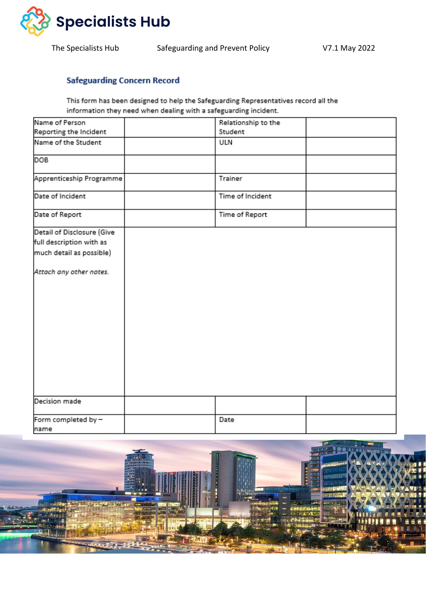

The Specialists Hub Safeguarding and Prevent Policy V7.1 May 2022

### **Safeguarding Concern Record**

This form has been designed to help the Safeguarding Representatives record all the information they need when dealing with a safeguarding incident.

| Name of Person              | Relationship to the |  |
|-----------------------------|---------------------|--|
| Reporting the Incident      | Student             |  |
| Name of the Student         | ULN                 |  |
| DOB                         |                     |  |
| Apprenticeship Programme    | Trainer             |  |
| Date of Incident            | Time of Incident    |  |
| Date of Report              | Time of Report      |  |
| Detail of Disclosure (Give  |                     |  |
| full description with as    |                     |  |
| much detail as possible)    |                     |  |
| Attach any other notes.     |                     |  |
| Decision made               |                     |  |
| Form completed by -<br>name | Date                |  |